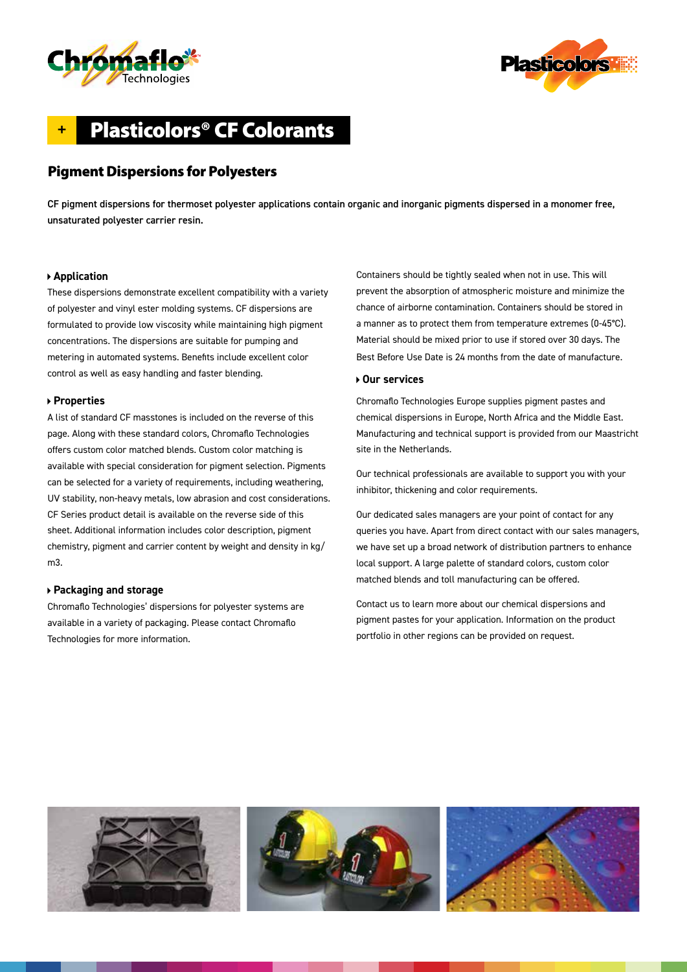



# **+** Plasticolors® CF Colorants

## Pigment Dispersions for Polyesters

CF pigment dispersions for thermoset polyester applications contain organic and inorganic pigments dispersed in a monomer free, unsaturated polyester carrier resin.

#### **Application**

These dispersions demonstrate excellent compatibility with a variety of polyester and vinyl ester molding systems. CF dispersions are formulated to provide low viscosity while maintaining high pigment concentrations. The dispersions are suitable for pumping and metering in automated systems. Benefits include excellent color control as well as easy handling and faster blending.

#### **Properties**

A list of standard CF masstones is included on the reverse of this page. Along with these standard colors, Chromaflo Technologies offers custom color matched blends. Custom color matching is available with special consideration for pigment selection. Pigments can be selected for a variety of requirements, including weathering, UV stability, non-heavy metals, low abrasion and cost considerations. CF Series product detail is available on the reverse side of this sheet. Additional information includes color description, pigment chemistry, pigment and carrier content by weight and density in kg/ m3.

#### **Packaging and storage**

Chromaflo Technologies' dispersions for polyester systems are available in a variety of packaging. Please contact Chromaflo Technologies for more information.

Containers should be tightly sealed when not in use. This will prevent the absorption of atmospheric moisture and minimize the chance of airborne contamination. Containers should be stored in a manner as to protect them from temperature extremes (0-45°C). Material should be mixed prior to use if stored over 30 days. The Best Before Use Date is 24 months from the date of manufacture.

#### **Our services**

Chromaflo Technologies Europe supplies pigment pastes and chemical dispersions in Europe, North Africa and the Middle East. Manufacturing and technical support is provided from our Maastricht site in the Netherlands.

Our technical professionals are available to support you with your inhibitor, thickening and color requirements.

Our dedicated sales managers are your point of contact for any queries you have. Apart from direct contact with our sales managers, we have set up a broad network of distribution partners to enhance local support. A large palette of standard colors, custom color matched blends and toll manufacturing can be offered.

Contact us to learn more about our chemical dispersions and pigment pastes for your application. Information on the product portfolio in other regions can be provided on request.